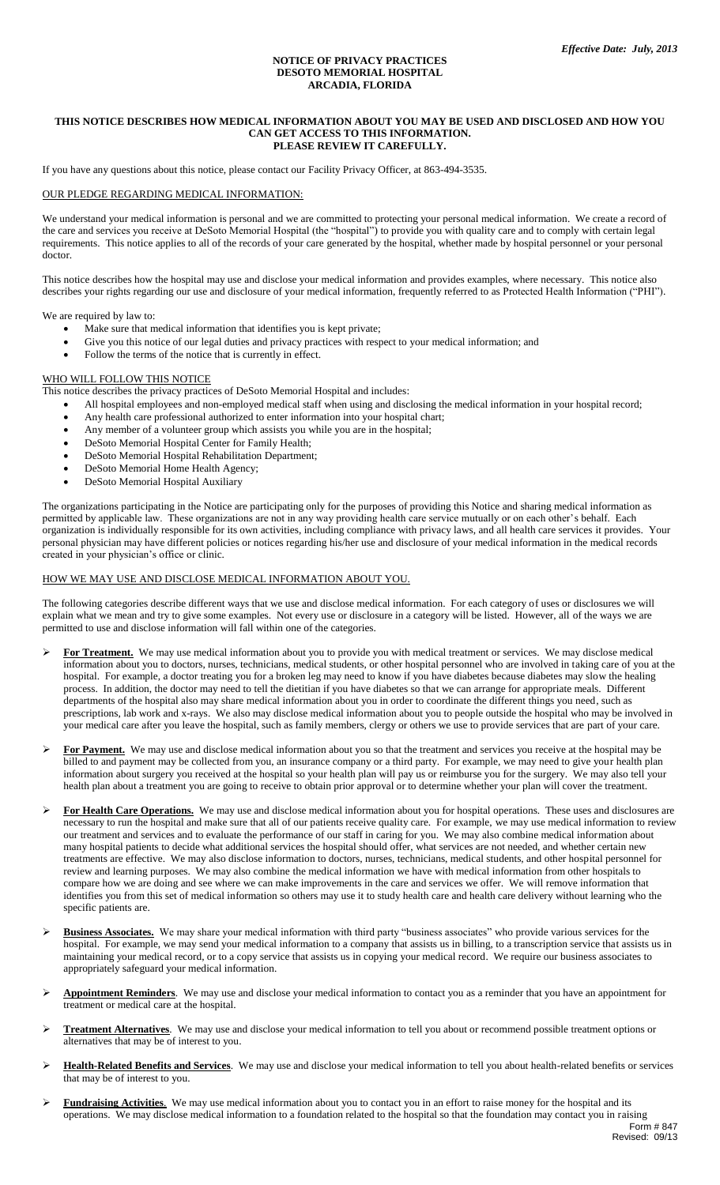# **NOTICE OF PRIVACY PRACTICES DESOTO MEMORIAL HOSPITAL ARCADIA, FLORIDA**

#### **THIS NOTICE DESCRIBES HOW MEDICAL INFORMATION ABOUT YOU MAY BE USED AND DISCLOSED AND HOW YOU CAN GET ACCESS TO THIS INFORMATION. PLEASE REVIEW IT CAREFULLY.**

If you have any questions about this notice, please contact our Facility Privacy Officer, at 863-494-3535.

#### OUR PLEDGE REGARDING MEDICAL INFORMATION:

We understand your medical information is personal and we are committed to protecting your personal medical information. We create a record of the care and services you receive at DeSoto Memorial Hospital (the "hospital") to provide you with quality care and to comply with certain legal requirements. This notice applies to all of the records of your care generated by the hospital, whether made by hospital personnel or your personal doctor.

This notice describes how the hospital may use and disclose your medical information and provides examples, where necessary. This notice also describes your rights regarding our use and disclosure of your medical information, frequently referred to as Protected Health Information ("PHI").

We are required by law to:

- Make sure that medical information that identifies you is kept private;
- Give you this notice of our legal duties and privacy practices with respect to your medical information; and
- Follow the terms of the notice that is currently in effect.

#### WHO WILL FOLLOW THIS NOTICE

- This notice describes the privacy practices of DeSoto Memorial Hospital and includes:
	- All hospital employees and non-employed medical staff when using and disclosing the medical information in your hospital record;
	- Any health care professional authorized to enter information into your hospital chart;
	- Any member of a volunteer group which assists you while you are in the hospital;
	- DeSoto Memorial Hospital Center for Family Health;
	- DeSoto Memorial Hospital Rehabilitation Department;
	- DeSoto Memorial Home Health Agency;
	- DeSoto Memorial Hospital Auxiliary

The organizations participating in the Notice are participating only for the purposes of providing this Notice and sharing medical information as permitted by applicable law. These organizations are not in any way providing health care service mutually or on each other's behalf. Each organization is individually responsible for its own activities, including compliance with privacy laws, and all health care services it provides. Your personal physician may have different policies or notices regarding his/her use and disclosure of your medical information in the medical records created in your physician's office or clinic.

#### HOW WE MAY USE AND DISCLOSE MEDICAL INFORMATION ABOUT YOU.

The following categories describe different ways that we use and disclose medical information. For each category of uses or disclosures we will explain what we mean and try to give some examples. Not every use or disclosure in a category will be listed. However, all of the ways we are permitted to use and disclose information will fall within one of the categories.

- For Treatment. We may use medical information about you to provide you with medical treatment or services. We may disclose medical information about you to doctors, nurses, technicians, medical students, or other hospital personnel who are involved in taking care of you at the hospital. For example, a doctor treating you for a broken leg may need to know if you have diabetes because diabetes may slow the healing process. In addition, the doctor may need to tell the dietitian if you have diabetes so that we can arrange for appropriate meals. Different departments of the hospital also may share medical information about you in order to coordinate the different things you need, such as prescriptions, lab work and x-rays. We also may disclose medical information about you to people outside the hospital who may be involved in your medical care after you leave the hospital, such as family members, clergy or others we use to provide services that are part of your care.
- **For Payment.** We may use and disclose medical information about you so that the treatment and services you receive at the hospital may be billed to and payment may be collected from you, an insurance company or a third party. For example, we may need to give your health plan information about surgery you received at the hospital so your health plan will pay us or reimburse you for the surgery. We may also tell your health plan about a treatment you are going to receive to obtain prior approval or to determine whether your plan will cover the treatment.
- **For Health Care Operations.** We may use and disclose medical information about you for hospital operations. These uses and disclosures are necessary to run the hospital and make sure that all of our patients receive quality care. For example, we may use medical information to review our treatment and services and to evaluate the performance of our staff in caring for you. We may also combine medical information about many hospital patients to decide what additional services the hospital should offer, what services are not needed, and whether certain new treatments are effective. We may also disclose information to doctors, nurses, technicians, medical students, and other hospital personnel for review and learning purposes. We may also combine the medical information we have with medical information from other hospitals to compare how we are doing and see where we can make improvements in the care and services we offer. We will remove information that identifies you from this set of medical information so others may use it to study health care and health care delivery without learning who the specific patients are.
- **Business Associates.** We may share your medical information with third party "business associates" who provide various services for the hospital. For example, we may send your medical information to a company that assists us in billing, to a transcription service that assists us in maintaining your medical record, or to a copy service that assists us in copying your medical record. We require our business associates to appropriately safeguard your medical information.
- **Appointment Reminders**. We may use and disclose your medical information to contact you as a reminder that you have an appointment for treatment or medical care at the hospital.
- **Treatment Alternatives**. We may use and disclose your medical information to tell you about or recommend possible treatment options or alternatives that may be of interest to you.
- **Health-Related Benefits and Services**. We may use and disclose your medical information to tell you about health-related benefits or services that may be of interest to you.
- **Fundraising Activities**. We may use medical information about you to contact you in an effort to raise money for the hospital and its operations. We may disclose medical information to a foundation related to the hospital so that the foundation may contact you in raising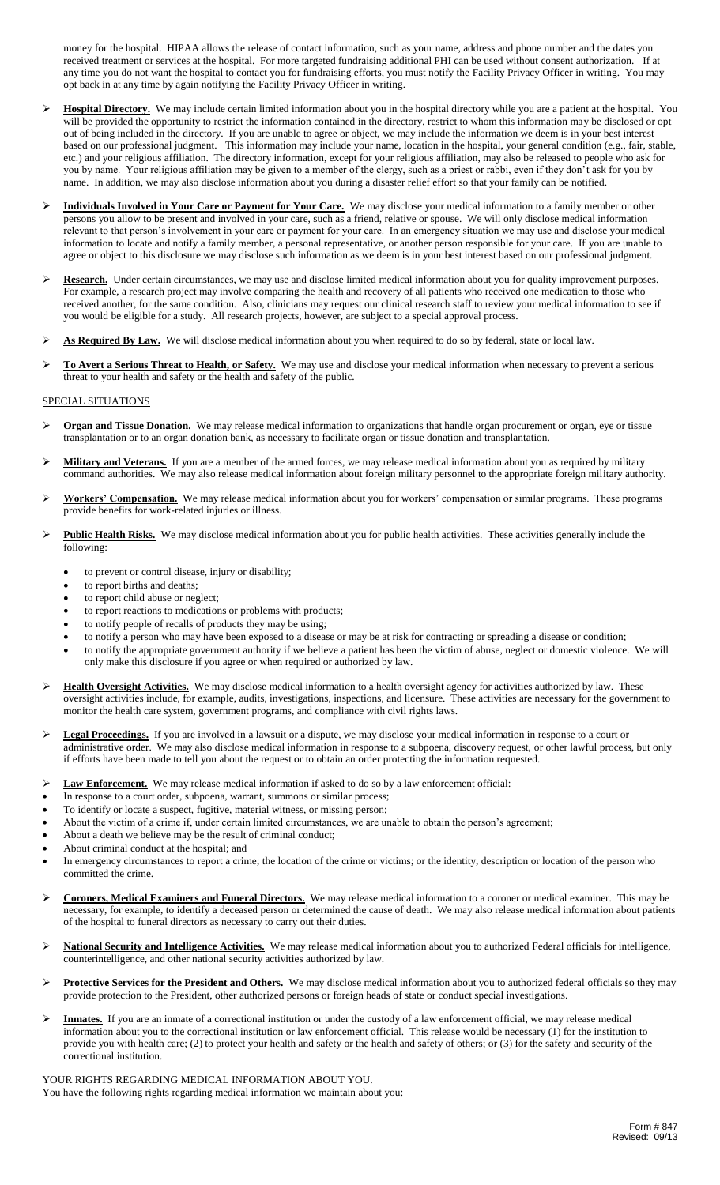money for the hospital. HIPAA allows the release of contact information, such as your name, address and phone number and the dates you received treatment or services at the hospital. For more targeted fundraising additional PHI can be used without consent authorization. If at any time you do not want the hospital to contact you for fundraising efforts, you must notify the Facility Privacy Officer in writing. You may opt back in at any time by again notifying the Facility Privacy Officer in writing.

- Hospital Directory. We may include certain limited information about you in the hospital directory while you are a patient at the hospital. You will be provided the opportunity to restrict the information contained in the directory, restrict to whom this information may be disclosed or opt out of being included in the directory. If you are unable to agree or object, we may include the information we deem is in your best interest based on our professional judgment. This information may include your name, location in the hospital, your general condition (e.g., fair, stable, etc.) and your religious affiliation. The directory information, except for your religious affiliation, may also be released to people who ask for you by name. Your religious affiliation may be given to a member of the clergy, such as a priest or rabbi, even if they don't ask for you by name. In addition, we may also disclose information about you during a disaster relief effort so that your family can be notified.
- **Individuals Involved in Your Care or Payment for Your Care.** We may disclose your medical information to a family member or other persons you allow to be present and involved in your care, such as a friend, relative or spouse. We will only disclose medical information relevant to that person's involvement in your care or payment for your care. In an emergency situation we may use and disclose your medical information to locate and notify a family member, a personal representative, or another person responsible for your care. If you are unable to agree or object to this disclosure we may disclose such information as we deem is in your best interest based on our professional judgment.
- **Research.** Under certain circumstances, we may use and disclose limited medical information about you for quality improvement purposes. For example, a research project may involve comparing the health and recovery of all patients who received one medication to those who received another, for the same condition. Also, clinicians may request our clinical research staff to review your medical information to see if you would be eligible for a study. All research projects, however, are subject to a special approval process.
- $\triangleright$  **As Required By Law.** We will disclose medical information about you when required to do so by federal, state or local law.
- **To Avert a Serious Threat to Health, or Safety.** We may use and disclose your medical information when necessary to prevent a serious threat to your health and safety or the health and safety of the public.

## SPECIAL SITUATIONS

- **Organ and Tissue Donation.** We may release medical information to organizations that handle organ procurement or organ, eye or tissue transplantation or to an organ donation bank, as necessary to facilitate organ or tissue donation and transplantation.
- Military and Veterans. If you are a member of the armed forces, we may release medical information about you as required by military command authorities. We may also release medical information about foreign military personnel to the appropriate foreign military authority.
- $\triangleright$  **Workers' Compensation.** We may release medical information about you for workers' compensation or similar programs. These programs provide benefits for work-related injuries or illness.
- Public Health Risks. We may disclose medical information about you for public health activities. These activities generally include the following:
	- to prevent or control disease, injury or disability;
	- to report births and deaths;
	- to report child abuse or neglect;
	- to report reactions to medications or problems with products;
	- to notify people of recalls of products they may be using;
	- to notify a person who may have been exposed to a disease or may be at risk for contracting or spreading a disease or condition;
	- to notify the appropriate government authority if we believe a patient has been the victim of abuse, neglect or domestic violence. We will only make this disclosure if you agree or when required or authorized by law.
- Health Oversight Activities. We may disclose medical information to a health oversight agency for activities authorized by law. These oversight activities include, for example, audits, investigations, inspections, and licensure. These activities are necessary for the government to monitor the health care system, government programs, and compliance with civil rights laws.
- **Legal Proceedings.** If you are involved in a lawsuit or a dispute, we may disclose your medical information in response to a court or administrative order. We may also disclose medical information in response to a subpoena, discovery request, or other lawful process, but only if efforts have been made to tell you about the request or to obtain an order protecting the information requested.
- **Law Enforcement.** We may release medical information if asked to do so by a law enforcement official:
- In response to a court order, subpoena, warrant, summons or similar process;
- To identify or locate a suspect, fugitive, material witness, or missing person;
- About the victim of a crime if, under certain limited circumstances, we are unable to obtain the person's agreement;
- About a death we believe may be the result of criminal conduct;
- About criminal conduct at the hospital; and
- In emergency circumstances to report a crime; the location of the crime or victims; or the identity, description or location of the person who committed the crime.
- **Coroners, Medical Examiners and Funeral Directors.** We may release medical information to a coroner or medical examiner. This may be necessary, for example, to identify a deceased person or determined the cause of death. We may also release medical information about patients of the hospital to funeral directors as necessary to carry out their duties.
- **National Security and Intelligence Activities.** We may release medical information about you to authorized Federal officials for intelligence, counterintelligence, and other national security activities authorized by law.
- Protective Services for the President and Others. We may disclose medical information about you to authorized federal officials so they may provide protection to the President, other authorized persons or foreign heads of state or conduct special investigations.
- $\triangleright$  **Inmates.** If you are an inmate of a correctional institution or under the custody of a law enforcement official, we may release medical information about you to the correctional institution or law enforcement official. This release would be necessary (1) for the institution to provide you with health care; (2) to protect your health and safety or the health and safety of others; or (3) for the safety and security of the correctional institution.

YOUR RIGHTS REGARDING MEDICAL INFORMATION ABOUT YOU. You have the following rights regarding medical information we maintain about you: